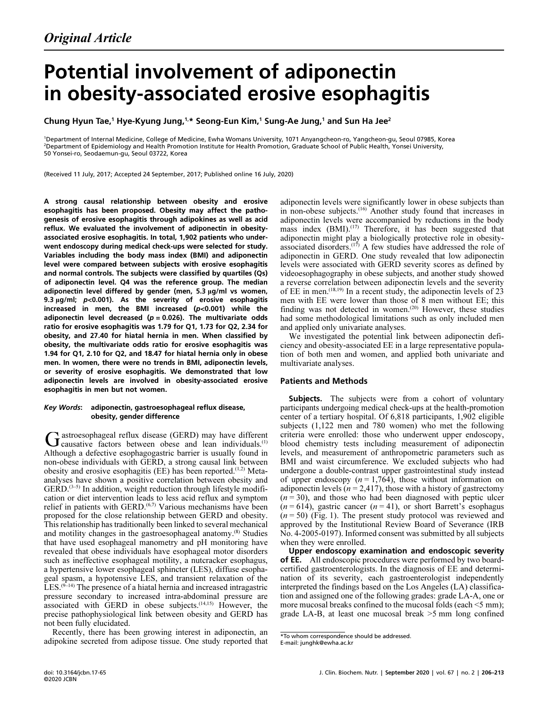# Potential involvement of adiponectin in obesity-associated erosive esophagitis

Chung Hyun Tae,<sup>1</sup> Hye-Kyung Jung,<sup>1,</sup>\* Seong-Eun Kim,<sup>1</sup> Sung-Ae Jung,<sup>1</sup> and Sun Ha Jee<sup>2</sup>

<sup>1</sup>Department of Internal Medicine, College of Medicine, Ewha Womans University, 1071 Anyangcheon-ro, Yangcheon-gu, Seoul 07985, Korea<br><sup>2</sup>Department of Enidomialsou and Health Brometian Institute for Health Promotion, Crad <sup>2</sup>Department of Epidemiology and Health Promotion Institute for Health Promotion, Graduate School of Public Health, Yonsei University, 50 Yonsei-ro, Seodaemun-gu, Seoul 03722, Korea

(Received 11 July, 2017; Accepted 24 September, 2017; Published online 16 July, 2020)

A strong causal relationship between obesity and erosive esophagitis has been proposed. Obesity may affect the patho genesis of erosive esophagitis through adipokines as well as acid reflux. We evaluated the involvement of adiponectin in obesity associated erosive esophagitis. In total, 1,902 patients who under went endoscopy during medical check-ups were selected for study. Variables including the body mass index (BMI) and adiponectin level were compared between subjects with erosive esophagitis and normal controls. The subjects were classified by quartiles (Qs) of adiponectin level. Q4 was the reference group. The median adiponectin level differed by gender (men, 5.3 µg/ml vs women, 9.3  $\mu$ g/ml;  $p$ <0.001). As the severity of erosive esophagitis increased in men, the BMI increased  $(p<0.001)$  while the adiponectin level decreased ( $p = 0.026$ ). The multivariate odds ratio for erosive esophagitis was 1.79 for Q1, 1.73 for Q2, 2.34 for obesity, and 27.40 for hiatal hernia in men. When classified by obesity, the multivariate odds ratio for erosive esophagitis was 1.94 for Q1, 2.10 for Q2, and 18.47 for hiatal hernia only in obese men. In women, there were no trends in BMI, adiponectin levels, or severity of erosive esophagitis. We demonstrated that low adiponectin levels are involved in obesity-associated erosive esophagitis in men but not women.

#### Key Words: adiponectin, gastroesophageal reflux disease, obesity, gender difference

astroesophageal reflux disease (GERD) may have different  $G$  astroesophageal reflux disease (GERD) may have different causative factors between obese and lean individuals.<sup>(1)</sup> Although a defective esophagogastric barrier is usually found in non-obese individuals with GERD, a strong causal link between obesity and erosive esophagitis (EE) has been reported.<sup> $(1,2)$ </sup> Metaanalyses have shown a positive correlation between obesity and GERD.(3–5) In addition, weight reduction through lifestyle modification or diet intervention leads to less acid reflux and symptom relief in patients with GERD.<sup>(6,7)</sup> Various mechanisms have been proposed for the close relationship between GERD and obesity. This relationship has traditionally been linked to several mechanical and motility changes in the gastroesophageal anatomy.(8) Studies that have used esophageal manometry and pH monitoring have revealed that obese individuals have esophageal motor disorders such as ineffective esophageal motility, a nutcracker esophagus, a hypertensive lower esophageal sphincter (LES), diffuse esophageal spasm, a hypotensive LES, and transient relaxation of the  $LES. (9-14)$  The presence of a hiatal hernia and increased intragastric pressure secondary to increased intra-abdominal pressure are associated with GERD in obese subjects.<sup> $(14,15)$ </sup> However, the precise pathophysiological link between obesity and GERD has not been fully elucidated.

Recently, there has been growing interest in adiponectin, an adipokine secreted from adipose tissue. One study reported that adiponectin levels were significantly lower in obese subjects than in non-obese subjects.<sup>(16)</sup> Another study found that increases in adiponectin levels were accompanied by reductions in the body mass index  $(BMI)$ .<sup> $(17)$ </sup> Therefore, it has been suggested that adiponectin might play a biologically protective role in obesityassociated disorders.(17) A few studies have addressed the role of adiponectin in GERD. One study revealed that low adiponectin levels were associated with GERD severity scores as defined by videoesophagography in obese subjects, and another study showed a reverse correlation between adiponectin levels and the severity of EE in men.<sup> $(18,19)$ </sup> In a recent study, the adiponectin levels of 23 men with EE were lower than those of 8 men without EE; this finding was not detected in women.(20) However, these studies had some methodological limitations such as only included men and applied only univariate analyses.

We investigated the potential link between adiponectin deficiency and obesity-associated EE in a large representative population of both men and women, and applied both univariate and multivariate analyses.

## Patients and Methods

**Subjects.** The subjects were from a cohort of voluntary participants undergoing medical check-ups at the health-promotion center of a tertiary hospital. Of 6,818 participants, 1,902 eligible subjects (1,122 men and 780 women) who met the following criteria were enrolled: those who underwent upper endoscopy, blood chemistry tests including measurement of adiponectin levels, and measurement of anthropometric parameters such as BMI and waist circumference. We excluded subjects who had undergone a double-contrast upper gastrointestinal study instead of upper endoscopy  $(n = 1,764)$ , those without information on adiponectin levels ( $n = 2,417$ ), those with a history of gastrectomy  $(n = 30)$ , and those who had been diagnosed with peptic ulcer  $(n = 614)$ , gastric cancer  $(n = 41)$ , or short Barrett's esophagus  $(n = 50)$  (Fig. 1). The present study protocol was reviewed and approved by the Institutional Review Board of Severance (IRB No. 4-2005-0197). Informed consent was submitted by all subjects when they were enrolled.

Upper endoscopy examination and endoscopic severity of EE. All endoscopic procedures were performed by two boardcertified gastroenterologists. In the diagnosis of EE and determination of its severity, each gastroenterologist independently interpreted the findings based on the Los Angeles (LA) classification and assigned one of the following grades: grade LA-A, one or more mucosal breaks confined to the mucosal folds (each <5 mm); grade LA-B, at least one mucosal break >5 mm long confined

<sup>\*</sup>To whom correspondence should be addressed. E-mail: junghk@ewha.ac.kr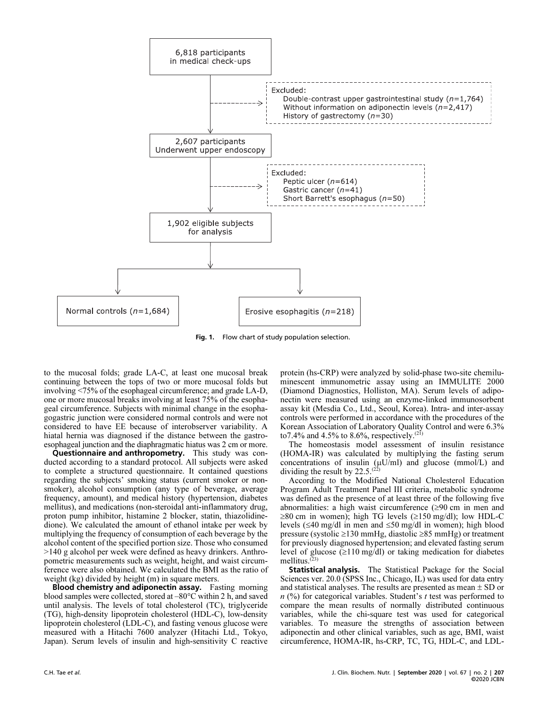

Fig. 1. Flow chart of study population selection.

to the mucosal folds; grade LA-C, at least one mucosal break continuing between the tops of two or more mucosal folds but involving <75% of the esophageal circumference; and grade LA-D, one or more mucosal breaks involving at least 75% of the esophageal circumference. Subjects with minimal change in the esophagogastric junction were considered normal controls and were not considered to have EE because of interobserver variability. A hiatal hernia was diagnosed if the distance between the gastroesophageal junction and the diaphragmatic hiatus was 2 cm or more.

Questionnaire and anthropometry. This study was conducted according to a standard protocol. All subjects were asked to complete a structured questionnaire. It contained questions regarding the subjects' smoking status (current smoker or nonsmoker), alcohol consumption (any type of beverage, average frequency, amount), and medical history (hypertension, diabetes mellitus), and medications (non-steroidal anti-inflammatory drug, proton pump inhibitor, histamine 2 blocker, statin, thiazolidinedione). We calculated the amount of ethanol intake per week by multiplying the frequency of consumption of each beverage by the alcohol content of the specified portion size. Those who consumed >140 g alcohol per week were defined as heavy drinkers. Anthropometric measurements such as weight, height, and waist circumference were also obtained. We calculated the BMI as the ratio of weight (kg) divided by height (m) in square meters.

Blood chemistry and adiponectin assay. Fasting morning blood samples were collected, stored at –80°C within 2 h, and saved until analysis. The levels of total cholesterol (TC), triglyceride (TG), high-density lipoprotein cholesterol (HDL-C), low-density lipoprotein cholesterol (LDL-C), and fasting venous glucose were measured with a Hitachi 7600 analyzer (Hitachi Ltd., Tokyo, Japan). Serum levels of insulin and high-sensitivity C reactive protein (hs-CRP) were analyzed by solid-phase two-site chemiluminescent immunometric assay using an IMMULITE 2000 (Diamond Diagnostics, Holliston, MA). Serum levels of adiponectin were measured using an enzyme-linked immunosorbent assay kit (Mesdia Co., Ltd., Seoul, Korea). Intra- and inter-assay controls were performed in accordance with the procedures of the Korean Association of Laboratory Quality Control and were 6.3% to7.4% and 4.5% to 8.6%, respectively.<sup>(21)</sup>

The homeostasis model assessment of insulin resistance (HOMA-IR) was calculated by multiplying the fasting serum concentrations of insulin  $(\mu U/ml)$  and glucose (mmol/L) and dividing the result by  $22.5^{(22)}$ 

According to the Modified National Cholesterol Education Program Adult Treatment Panel III criteria, metabolic syndrome was defined as the presence of at least three of the following five abnormalities: a high waist circumference  $(\geq 90 \text{ cm})$  in men and  $\geq$ 80 cm in women); high TG levels ( $\geq$ 150 mg/dl); low HDL-C levels ( $\leq 40$  mg/dl in men and  $\leq 50$  mg/dl in women); high blood pressure (systolic  $\geq$ 130 mmHg, diastolic  $\geq$ 85 mmHg) or treatment for previously diagnosed hypertension; and elevated fasting serum level of glucose  $(\geq 110 \text{ mg/dl})$  or taking medication for diabetes mellitus. $(23)$ 

**Statistical analysis.** The Statistical Package for the Social Sciences ver. 20.0 (SPSS Inc., Chicago, IL) was used for data entry and statistical analyses. The results are presented as mean  $\pm$  SD or  $n$  (%) for categorical variables. Student's t test was performed to compare the mean results of normally distributed continuous variables, while the chi-square test was used for categorical variables. To measure the strengths of association between adiponectin and other clinical variables, such as age, BMI, waist circumference, HOMA-IR, hs-CRP, TC, TG, HDL-C, and LDL-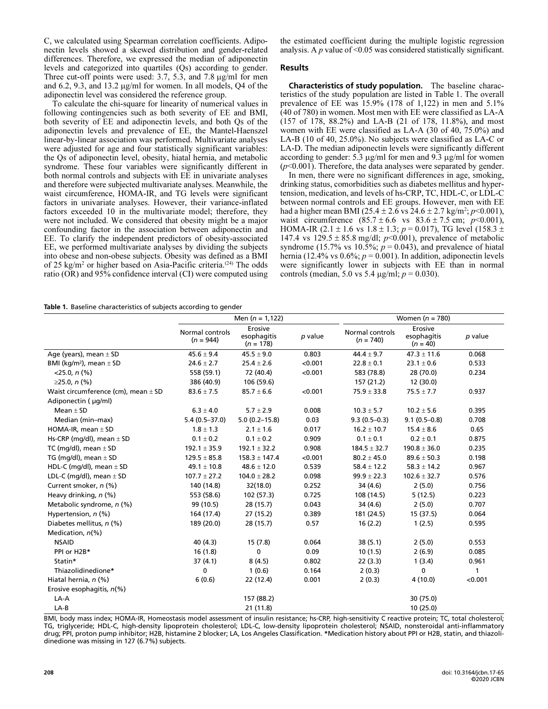C, we calculated using Spearman correlation coefficients. Adiponectin levels showed a skewed distribution and gender-related differences. Therefore, we expressed the median of adiponectin levels and categorized into quartiles (Qs) according to gender. Three cut-off points were used:  $3.7, 5.3$ , and  $7.8 \mu$ g/ml for men and 6.2, 9.3, and 13.2  $\mu$ g/ml for women. In all models, Q4 of the adiponectin level was considered the reference group.

To calculate the chi-square for linearity of numerical values in following contingencies such as both severity of EE and BMI, both severity of EE and adiponectin levels, and both Qs of the adiponectin levels and prevalence of EE, the Mantel-Haenszel linear-by-linear association was performed. Multivariate analyses were adjusted for age and four statistically significant variables: the Qs of adiponectin level, obesity, hiatal hernia, and metabolic syndrome. These four variables were significantly different in both normal controls and subjects with EE in univariate analyses and therefore were subjected multivariate analyses. Meanwhile, the waist circumference, HOMA-IR, and TG levels were significant factors in univariate analyses. However, their variance-inflated factors exceeded 10 in the multivariate model; therefore, they were not included. We considered that obesity might be a major confounding factor in the association between adiponectin and EE. To clarify the independent predictors of obesity-associated EE, we performed multivariate analyses by dividing the subjects into obese and non-obese subjects. Obesity was defined as a BMI of 25 kg/m<sup>2</sup> or higher based on Asia-Pacific criteria.<sup>(24)</sup> The odds ratio (OR) and 95% confidence interval (CI) were computed using the estimated coefficient during the multiple logistic regression analysis. A  $p$  value of <0.05 was considered statistically significant.

#### Results

Characteristics of study population. The baseline characteristics of the study population are listed in Table 1. The overall prevalence of EE was 15.9% (178 of 1,122) in men and 5.1% (40 of 780) in women. Most men with EE were classified as LA-A (157 of 178, 88.2%) and LA-B (21 of 178, 11.8%), and most women with EE were classified as LA-A (30 of 40, 75.0%) and LA-B (10 of 40, 25.0%). No subjects were classified as LA-C or LA-D. The median adiponectin levels were significantly different according to gender:  $5.\overline{3}$  µg/ml for men and  $9.\overline{3}$  µg/ml for women  $(p<0.001)$ . Therefore, the data analyses were separated by gender.

In men, there were no significant differences in age, smoking, drinking status, comorbidities such as diabetes mellitus and hypertension, medication, and levels of hs-CRP, TC, HDL-C, or LDL-C between normal controls and EE groups. However, men with EE had a higher mean BMI (25.4  $\pm$  2.6 vs 24.6  $\pm$  2.7 kg/m<sup>2</sup>; *p*<0.001), waist circumference  $(85.7 \pm 6.6 \text{ vs } 83.6 \pm 7.5 \text{ cm}; p<0.001)$ , HOMA-IR (2.1  $\pm$  1.6 vs 1.8  $\pm$  1.3; p = 0.017), TG level (158.3  $\pm$ 147.4 vs  $129.5 \pm 85.8$  mg/dl;  $p<0.001$ ), prevalence of metabolic syndrome (15.7% vs 10.5%;  $p = 0.043$ ), and prevalence of hiatal hernia (12.4% vs  $0.6\%$ ;  $p = 0.001$ ). In addition, adiponectin levels were significantly lower in subjects with EE than in normal controls (median, 5.0 vs 5.4  $\mu$ g/ml; *p* = 0.030).

#### Table 1. Baseline characteristics of subjects according to gender

|                                         | Men $(n = 1, 122)$             |                                       |         | Women $(n = 780)$              |                                      |              |  |
|-----------------------------------------|--------------------------------|---------------------------------------|---------|--------------------------------|--------------------------------------|--------------|--|
|                                         | Normal controls<br>$(n = 944)$ | Erosive<br>esophagitis<br>$(n = 178)$ | p value | Normal controls<br>$(n = 740)$ | Erosive<br>esophagitis<br>$(n = 40)$ | p value      |  |
| Age (years), mean $\pm$ SD              | $45.6 \pm 9.4$                 | $45.5 \pm 9.0$                        | 0.803   | $44.4 \pm 9.7$                 | $47.3 \pm 11.6$                      | 0.068        |  |
| BMI (kg/m <sup>2</sup> ), mean $\pm$ SD | $24.6 \pm 2.7$                 | $25.4 \pm 2.6$                        | < 0.001 | $22.8 \pm 0.1$                 | $23.1 \pm 0.6$                       | 0.533        |  |
| $<$ 25.0, n $(\%)$                      | 558 (59.1)                     | 72 (40.4)                             | < 0.001 | 583 (78.8)                     | 28 (70.0)                            | 0.234        |  |
| ≥25.0, $n$ (%)                          | 386 (40.9)                     | 106 (59.6)                            |         | 157 (21.2)                     | 12 (30.0)                            |              |  |
| Waist circumference (cm), mean $\pm$ SD | $83.6 \pm 7.5$                 | $85.7 \pm 6.6$                        | < 0.001 | $75.9 \pm 33.8$                | $75.5 \pm 7.7$                       | 0.937        |  |
| Adiponectin ( µg/ml)                    |                                |                                       |         |                                |                                      |              |  |
| Mean $\pm$ SD                           | $6.3 \pm 4.0$                  | $5.7 \pm 2.9$                         | 0.008   | $10.3 \pm 5.7$                 | $10.2 \pm 5.6$                       | 0.395        |  |
| Median (min-max)                        | $5.4(0.5-37.0)$                | $5.0(0.2-15.8)$                       | 0.03    | $9.3(0.5-0.3)$                 | $9.1(0.5-0.8)$                       | 0.708        |  |
| HOMA-IR, mean $\pm$ SD                  | $1.8 \pm 1.3$                  | $2.1 \pm 1.6$                         | 0.017   | $16.2 \pm 10.7$                | $15.4 \pm 8.6$                       | 0.65         |  |
| Hs-CRP (mg/dl), mean $\pm$ SD           | $0.1 \pm 0.2$                  | $0.1 \pm 0.2$                         | 0.909   | $0.1 \pm 0.1$                  | $0.2 \pm 0.1$                        | 0.875        |  |
| TC (mg/dl), mean $\pm$ SD               | $192.1 \pm 35.9$               | $192.1 \pm 32.2$                      | 0.908   | $184.5 \pm 32.7$               | $190.8 \pm 36.0$                     | 0.235        |  |
| TG (mg/dl), mean $\pm$ SD               | $129.5 \pm 85.8$               | $158.3 \pm 147.4$                     | < 0.001 | $80.2 \pm 45.0$                | $89.6 \pm 50.3$                      | 0.198        |  |
| HDL-C (mg/dl), mean $\pm$ SD            | $49.1 \pm 10.8$                | $48.6 \pm 12.0$                       | 0.539   | $58.4 \pm 12.2$                | $58.3 \pm 14.2$                      | 0.967        |  |
| LDL-C (mg/dl), mean $\pm$ SD            | $107.7 \pm 27.2$               | $104.0 \pm 28.2$                      | 0.098   | $99.9 \pm 22.3$                | $102.6 \pm 32.7$                     | 0.576        |  |
| Current smoker, n (%)                   | 140 (14.8)                     | 32(18.0)                              | 0.252   | 34 (4.6)                       | 2(5.0)                               | 0.756        |  |
| Heavy drinking, n (%)                   | 553 (58.6)                     | 102 (57.3)                            | 0.725   | 108 (14.5)                     | 5(12.5)                              | 0.223        |  |
| Metabolic syndrome, n (%)               | 99 (10.5)                      | 28 (15.7)                             | 0.043   | 34 (4.6)                       | 2(5.0)                               | 0.707        |  |
| Hypertension, $n$ (%)                   | 164 (17.4)                     | 27 (15.2)                             | 0.389   | 181 (24.5)                     | 15 (37.5)                            | 0.064        |  |
| Diabetes mellitus, n (%)                | 189 (20.0)                     | 28 (15.7)                             | 0.57    | 16(2.2)                        | 1(2.5)                               | 0.595        |  |
| Medication, n(%)                        |                                |                                       |         |                                |                                      |              |  |
| <b>NSAID</b>                            | 40 (4.3)                       | 15(7.8)                               | 0.064   | 38(5.1)                        | 2(5.0)                               | 0.553        |  |
| PPI or H2B*                             | 16(1.8)                        | 0                                     | 0.09    | 10(1.5)                        | 2(6.9)                               | 0.085        |  |
| Statin*                                 | 37(4.1)                        | 8(4.5)                                | 0.802   | 22(3.3)                        | 1(3.4)                               | 0.961        |  |
| Thiazolidinedione*                      | 0                              | 1(0.6)                                | 0.164   | 2(0.3)                         | 0                                    | $\mathbf{1}$ |  |
| Hiatal hernia, n (%)                    | 6(0.6)                         | 22 (12.4)                             | 0.001   | 2(0.3)                         | 4(10.0)                              | < 0.001      |  |
| Erosive esophagitis, $n\ll 0$           |                                |                                       |         |                                |                                      |              |  |
| LA-A                                    |                                | 157 (88.2)                            |         |                                | 30 (75.0)                            |              |  |
| $LA-B$                                  |                                | 21 (11.8)                             |         |                                | 10(25.0)                             |              |  |

BMI, body mass index; HOMA-IR, Homeostasis model assessment of insulin resistance; hs-CRP, high-sensitivity C reactive protein; TC, total cholesterol; TG, triglyceride; HDL-C, high-density lipoprotein cholesterol; LDL-C, low-density lipoprotein cholesterol; NSAID, nonsteroidal anti-inflammatory TG, triglyceride; HDL-C, high-density lipoprotein cholesterol; LDL-C, low-density lipoprotein cholesterol; NSAID, nonsteroidal anti-inflammatory<br>drug; PPI, proton pump inhibitor; H2B, histamine 2 blocker; LA, Los Angeles C dinedione was missing in 127 (6.7%) subjects.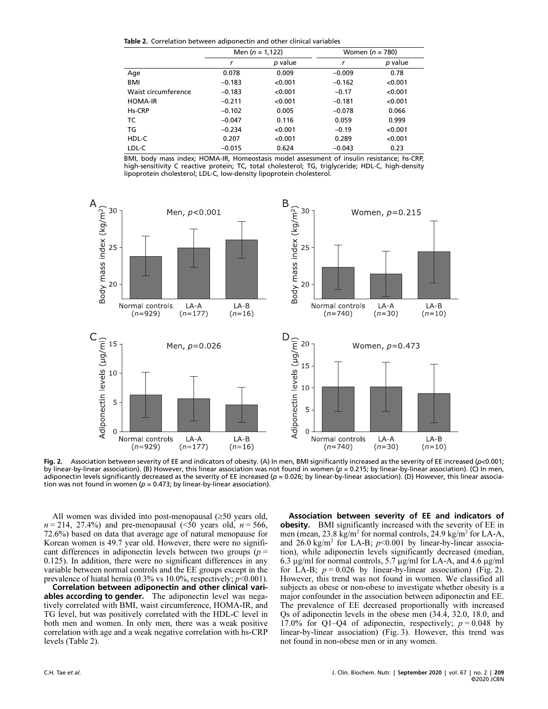Table 2. Correlation between adiponectin and other clinical variables

|                     | Men $(n = 1, 122)$ |         |          | Women $(n = 780)$ |
|---------------------|--------------------|---------|----------|-------------------|
|                     | r                  | p value | r        | p value           |
| Age                 | 0.078              | 0.009   | $-0.009$ | 0.78              |
| <b>BMI</b>          | $-0.183$           | < 0.001 | $-0.162$ | < 0.001           |
| Waist circumference | $-0.183$           | < 0.001 | $-0.17$  | < 0.001           |
| <b>HOMA-IR</b>      | $-0.211$           | < 0.001 | $-0.181$ | < 0.001           |
| Hs-CRP              | $-0.102$           | 0.005   | $-0.078$ | 0.066             |
| ТC                  | $-0.047$           | 0.116   | 0.059    | 0.999             |
| TG                  | $-0.234$           | < 0.001 | $-0.19$  | < 0.001           |
| HDL-C               | 0.207              | < 0.001 | 0.289    | < 0.001           |
| LDL-C               | $-0.015$           | 0.624   | $-0.043$ | 0.23              |

BMI, body mass index; HOMA-IR, Homeostasis model assessment of insulin resistance; hs-CRP, high-sensitivity C reactive protein; TC, total cholesterol; TG, triglyceride; HDL-C, high-density lipoprotein cholesterol; LDL-C, low-density lipoprotein cholesterol.



Fig. 2. Association between severity of EE and indicators of obesity. (A) In men, BMI significantly increased as the severity of EE increased (p<0.001; by linear-by-linear association). (B) However, this linear association was not found in women ( $\rho$  = 0.215; by linear-by-linear association). (C) In men, adiponectin levels significantly decreased as the severity of EE increased (p = 0.026; by linear-by-linear association). (D) However, this linear associa tion was not found in women ( $p$  = 0.473; by linear-by-linear association).

All women was divided into post-menopausal  $(\geq 50$  years old,  $n = 214$ , 27.4%) and pre-menopausal (<50 years old,  $n = 566$ , 72.6%) based on data that average age of natural menopause for Korean women is 49.7 year old. However, there were no significant differences in adiponectin levels between two groups ( $p =$ 0.125). In addition, there were no significant differences in any variable between normal controls and the EE groups except in the prevalence of hiatal hernia (0.3% vs 10.0%, respectively;  $p<0.001$ ).

Correlation between adiponectin and other clinical vari **ables according to gender.** The adiponectin level was negatively correlated with BMI, waist circumference, HOMA-IR, and TG level, but was positively correlated with the HDL-C level in both men and women. In only men, there was a weak positive correlation with age and a weak negative correlation with hs-CRP levels (Table 2).

Association between severity of EE and indicators of obesity. BMI significantly increased with the severity of EE in men (mean, 23.8 kg/m<sup>2</sup> for normal controls, 24.9 kg/m<sup>2</sup> for LA-A, and  $26.0 \text{ kg/m}^2$  for LA-B;  $p<0.001$  by linear-by-linear association), while adiponectin levels significantly decreased (median, 6.3  $\mu$ g/ml for normal controls, 5.7  $\mu$ g/ml for LA-A, and 4.6  $\mu$ g/ml for LA-B;  $p = 0.026$  by linear-by-linear association) (Fig. 2). However, this trend was not found in women. We classified all subjects as obese or non-obese to investigate whether obesity is a major confounder in the association between adiponectin and EE. The prevalence of EE decreased proportionally with increased Qs of adiponectin levels in the obese men (34.4, 32.0, 18.0, and 17.0% for Q1–Q4 of adiponectin, respectively;  $p = 0.048$  by linear-by-linear association) (Fig. 3). However, this trend was not found in non-obese men or in any women.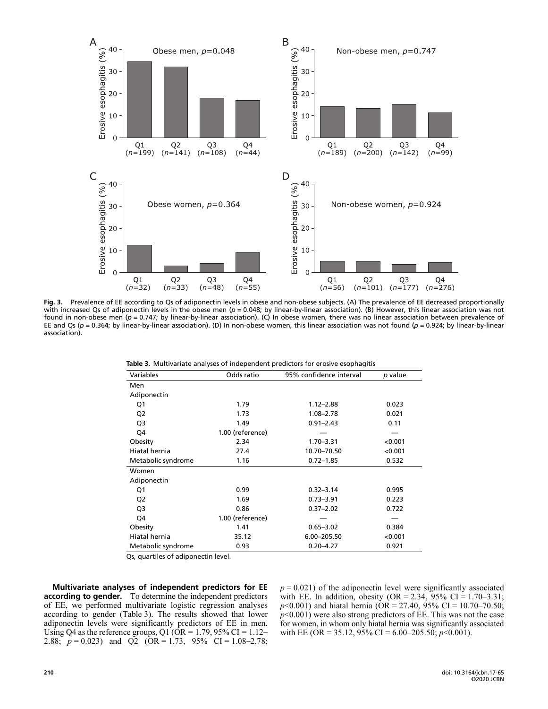

Fig. 3. Prevalence of EE according to Qs of adiponectin levels in obese and non-obese subjects. (A) The prevalence of EE decreased proportionally<br>with increased Os of adiponectin levels in the obese men (n = 0.048; by line with increased Qs of adiponectin levels in the obese men ( $p=0.048$ ; by linear-by-linear association). (B) However, this linear association was not found in non-obese men (p = 0.747; by linear-by-linear association). (C) In obese women, there was no linear association between prevalence of EE and Qs (p = 0.364; by linear-by-linear association). (D) In non-obese women, this linear association was not found (p = 0.924; by linear-by-linear association).

|          | Table 3. Multivariate analyses of independent predictors for erosive esophagitis |  |  |  |  |
|----------|----------------------------------------------------------------------------------|--|--|--|--|
| ________ |                                                                                  |  |  |  |  |

| Odds ratio       | 95% confidence interval | p value |
|------------------|-------------------------|---------|
|                  |                         |         |
|                  |                         |         |
| 1.79             | $1.12 - 2.88$           | 0.023   |
| 1.73             | $1.08 - 2.78$           | 0.021   |
| 1.49             | $0.91 - 2.43$           | 0.11    |
| 1.00 (reference) |                         |         |
| 2.34             | $1.70 - 3.31$           | < 0.001 |
| 27.4             | 10.70-70.50             | < 0.001 |
| 1.16             | $0.72 - 1.85$           | 0.532   |
|                  |                         |         |
|                  |                         |         |
| 0.99             | $0.32 - 3.14$           | 0.995   |
| 1.69             | $0.73 - 3.91$           | 0.223   |
| 0.86             | $0.37 - 2.02$           | 0.722   |
| 1.00 (reference) |                         |         |
| 1.41             | $0.65 - 3.02$           | 0.384   |
| 35.12            | 6.00-205.50             | < 0.001 |
| 0.93             | $0.20 - 4.27$           | 0.921   |
|                  |                         |         |

Qs, quartiles of adiponectin level.

Multivariate analyses of independent predictors for EE according to gender. To determine the independent predictors of EE, we performed multivariate logistic regression analyses according to gender (Table 3). The results showed that lower adiponectin levels were significantly predictors of EE in men. Using Q4 as the reference groups, Q1 ( $OR = 1.79$ , 95% CI = 1.12– 2.88;  $p = 0.023$ ) and Q2 (OR = 1.73, 95% CI = 1.08–2.78;  $p = 0.021$ ) of the adiponectin level were significantly associated with EE. In addition, obesity  $(OR = 2.34, 95\% \text{ CI} = 1.70 - 3.31;$  $p<0.001$ ) and hiatal hernia (OR = 27.40, 95% CI = 10.70–70.50;  $p<0.001$ ) were also strong predictors of EE. This was not the case for women, in whom only hiatal hernia was significantly associated with EE (OR = 35.12, 95% CI = 6.00–205.50;  $p<0.001$ ).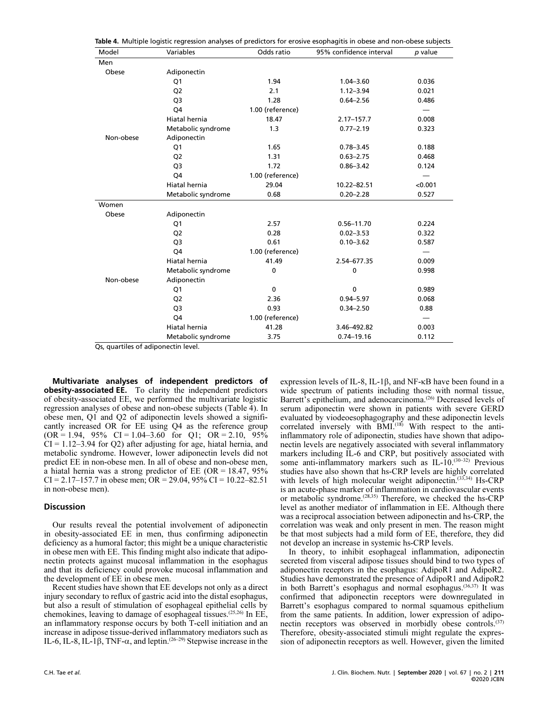| Model     | Variables          | Odds ratio            | 95% confidence interval | p value |
|-----------|--------------------|-----------------------|-------------------------|---------|
| Men       |                    |                       |                         |         |
| Obese     | Adiponectin        |                       |                         |         |
|           | Q1                 | 1.94                  | $1.04 - 3.60$           | 0.036   |
|           | Q <sub>2</sub>     | 2.1                   | $1.12 - 3.94$           | 0.021   |
|           | Q3                 | 1.28                  | $0.64 - 2.56$           | 0.486   |
|           | Q4                 | 1.00 (reference)      |                         |         |
|           | Hiatal hernia      | 18.47                 | $2.17 - 157.7$          | 0.008   |
|           | Metabolic syndrome | 1.3                   | $0.77 - 2.19$           | 0.323   |
| Non-obese | Adiponectin        |                       |                         |         |
|           | Q1                 | 1.65                  | $0.78 - 3.45$           | 0.188   |
|           | Q <sub>2</sub>     | 1.31                  | $0.63 - 2.75$           | 0.468   |
|           | Q <sub>3</sub>     | 1.72                  | $0.86 - 3.42$           | 0.124   |
|           | Q4                 | 1.00 (reference)      |                         |         |
|           | Hiatal hernia      | 29.04                 | 10.22-82.51             | < 0.001 |
|           | Metabolic syndrome | 0.68                  | $0.20 - 2.28$           | 0.527   |
| Women     |                    |                       |                         |         |
| Obese     | Adiponectin        |                       |                         |         |
|           | Q1                 | 2.57                  | $0.56 - 11.70$          | 0.224   |
|           | Q <sub>2</sub>     | 0.28                  | $0.02 - 3.53$           | 0.322   |
|           | Q <sub>3</sub>     | 0.61<br>$0.10 - 3.62$ |                         | 0.587   |
|           | Q4                 | 1.00 (reference)      |                         |         |
|           | Hiatal hernia      | 41.49                 | 2.54-677.35             | 0.009   |
|           | Metabolic syndrome | 0                     | 0                       | 0.998   |
| Non-obese | Adiponectin        |                       |                         |         |
|           | Q1                 | $\mathbf 0$           | $\mathbf 0$             | 0.989   |
|           | Q <sub>2</sub>     | 2.36                  | $0.94 - 5.97$           | 0.068   |
|           | Q <sub>3</sub>     | 0.93                  | $0.34 - 2.50$           | 0.88    |
|           | Q4                 | 1.00 (reference)      |                         |         |
|           | Hiatal hernia      | 41.28                 | 3.46-492.82             | 0.003   |
|           | Metabolic syndrome | 3.75                  | $0.74 - 19.16$          | 0.112   |

Qs, quartiles of adiponectin level.

Multivariate analyses of independent predictors of **obesity-associated EE.** To clarity the independent predictors of obesity-associated EE, we performed the multivariate logistic regression analyses of obese and non-obese subjects (Table 4). In obese men, Q1 and Q2 of adiponectin levels showed a significantly increased OR for EE using Q4 as the reference group  $(OR = 1.94, 95\% \text{ CI} = 1.04 - 3.60 \text{ for } Q1; OR = 2.10, 95\%$  $CI = 1.12 - 3.94$  for Q2) after adjusting for age, hiatal hernia, and metabolic syndrome. However, lower adiponectin levels did not predict EE in non-obese men. In all of obese and non-obese men, a hiatal hernia was a strong predictor of EE (OR = 18.47,  $95\%$ )  $CI = 2.17 - 157.7$  in obese men;  $OR = 29.04$ ,  $95\% CI = 10.22 - 82.51$ in non-obese men).

#### **Discussion**

Our results reveal the potential involvement of adiponectin in obesity-associated EE in men, thus confirming adiponectin deficiency as a humoral factor; this might be a unique characteristic in obese men with EE. This finding might also indicate that adiponectin protects against mucosal inflammation in the esophagus and that its deficiency could provoke mucosal inflammation and the development of EE in obese men.

Recent studies have shown that EE develops not only as a direct injury secondary to reflux of gastric acid into the distal esophagus, but also a result of stimulation of esophageal epithelial cells by chemokines, leaving to damage of esophageal tissues.(25,26) In EE, an inflammatory response occurs by both T-cell initiation and an increase in adipose tissue-derived inflammatory mediators such as IL-6, IL-8, IL-1 $\beta$ , TNF- $\alpha$ , and leptin.<sup>(26–29)</sup> Stepwise increase in the

expression levels of IL-8, IL-1 $\beta$ , and NF- $\kappa$ B have been found in a wide spectrum of patients including those with normal tissue, Barrett's epithelium, and adenocarcinoma.<sup>(26)</sup> Decreased levels of serum adiponectin were shown in patients with severe GERD evaluated by viodeoesophagography and these adiponectin levels correlated inversely with  $\overrightarrow{BMI}$ .<sup>(18)</sup> With respect to the antiinflammatory role of adiponectin, studies have shown that adiponectin levels are negatively associated with several inflammatory markers including IL-6 and CRP, but positively associated with some anti-inflammatory markers such as IL-10.(30-32) Previous studies have also shown that hs-CRP levels are highly correlated with levels of high molecular weight adiponectin.<sup>(33,34)</sup> Hs-CRP is an acute-phase marker of inflammation in cardiovascular events or metabolic syndrome.(28,35) Therefore, we checked the hs-CRP level as another mediator of inflammation in EE. Although there was a reciprocal association between adiponectin and hs-CRP, the correlation was weak and only present in men. The reason might be that most subjects had a mild form of EE, therefore, they did not develop an increase in systemic hs-CRP levels.

In theory, to inhibit esophageal inflammation, adiponectin secreted from visceral adipose tissues should bind to two types of adiponectin receptors in the esophagus: AdipoR1 and AdipoR2. Studies have demonstrated the presence of AdipoR1 and AdipoR2 in both Barrett's esophagus and normal esophagus.<sup>(36,37)</sup> It was confirmed that adiponectin receptors were downregulated in Barrett's esophagus compared to normal squamous epithelium from the same patients. In addition, lower expression of adiponectin receptors was observed in morbidly obese controls.<sup>(37)</sup> Therefore, obesity-associated stimuli might regulate the expression of adiponectin receptors as well. However, given the limited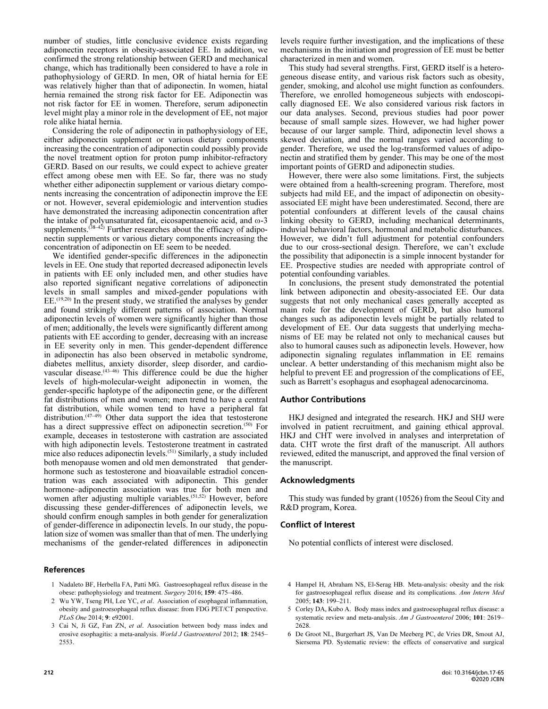number of studies, little conclusive evidence exists regarding adiponectin receptors in obesity-associated EE. In addition, we confirmed the strong relationship between GERD and mechanical change, which has traditionally been considered to have a role in pathophysiology of GERD. In men, OR of hiatal hernia for EE was relatively higher than that of adiponectin. In women, hiatal hernia remained the strong risk factor for EE. Adiponectin was not risk factor for EE in women. Therefore, serum adiponectin level might play a minor role in the development of EE, not major role alike hiatal hernia.

Considering the role of adiponectin in pathophysiology of EE, either adiponectin supplement or various dietary components increasing the concentration of adiponectin could possibly provide the novel treatment option for proton pump inhibitor-refractory GERD. Based on our results, we could expect to achieve greater effect among obese men with EE. So far, there was no study whether either adiponectin supplement or various dietary components increasing the concentration of adiponectin improve the EE or not. However, several epidemiologic and intervention studies have demonstrated the increasing adiponectin concentration after the intake of polyunsaturated fat, eicosapentaenoic acid, and  $\omega$ -3 supplements. $(38-42)$  Further researches about the efficacy of adiponectin supplements or various dietary components increasing the concentration of adiponectin on EE seem to be needed.

We identified gender-specific differences in the adiponectin levels in EE. One study that reported decreased adiponectin levels in patients with EE only included men, and other studies have also reported significant negative correlations of adiponectin levels in small samples and mixed-gender populations with EE.(19,20) In the present study, we stratified the analyses by gender and found strikingly different patterns of association. Normal adiponectin levels of women were significantly higher than those of men; additionally, the levels were significantly different among patients with EE according to gender, decreasing with an increase in EE severity only in men. This gender-dependent difference in adiponectin has also been observed in metabolic syndrome, diabetes mellitus, anxiety disorder, sleep disorder, and cardiovascular disease.<sup>(43-46)</sup> This difference could be due the higher levels of high-molecular-weight adiponectin in women, the gender-specific haplotype of the adiponectin gene, or the different fat distributions of men and women; men trend to have a central fat distribution, while women tend to have a peripheral fat distribution.<sup>(47–49</sup>) Other data support the idea that testosterone has a direct suppressive effect on adiponectin secretion.<sup>(50)</sup> For example, deceases in testosterone with castration are associated with high adiponectin levels. Testosterone treatment in castrated mice also reduces adiponectin levels.(51) Similarly, a study included both menopause women and old men demonstrated that genderhormone such as testosterone and bioavailable estradiol concentration was each associated with adiponectin. This gender hormone–adiponectin association was true for both men and women after adjusting multiple variables.<sup> $(51,52)$ </sup> However, before discussing these gender-differences of adiponectin levels, we should confirm enough samples in both gender for generalization of gender-difference in adiponectin levels. In our study, the population size of women was smaller than that of men. The underlying mechanisms of the gender-related differences in adiponectin

#### References

- 1 Nadaleto BF, Herbella FA, Patti MG. Gastroesophageal reflux disease in the obese: pathophysiology and treatment. Surgery 2016; 159: 475–486.
- 2 Wu YW, Tseng PH, Lee YC, et al. Association of esophageal inflammation, obesity and gastroesophageal reflux disease: from FDG PET/CT perspective. PLoS One 2014; 9: e92001.
- 3 Cai N, Ji GZ, Fan ZN, et al. Association between body mass index and erosive esophagitis: a meta-analysis. World J Gastroenterol 2012; 18: 2545– 2553.

levels require further investigation, and the implications of these mechanisms in the initiation and progression of EE must be better characterized in men and women.

This study had several strengths. First, GERD itself is a heterogeneous disease entity, and various risk factors such as obesity, gender, smoking, and alcohol use might function as confounders. Therefore, we enrolled homogeneous subjects with endoscopically diagnosed EE. We also considered various risk factors in our data analyses. Second, previous studies had poor power because of small sample sizes. However, we had higher power because of our larger sample. Third, adiponectin level shows a skewed deviation, and the normal ranges varied according to gender. Therefore, we used the log-transformed values of adiponectin and stratified them by gender. This may be one of the most important points of GERD and adiponectin studies.

However, there were also some limitations. First, the subjects were obtained from a health-screening program. Therefore, most subjects had mild EE, and the impact of adiponectin on obesityassociated EE might have been underestimated. Second, there are potential confounders at different levels of the causal chains linking obesity to GERD, including mechanical determinants, induvial behavioral factors, hormonal and metabolic disturbances. However, we didn't full adjustment for potential confounders due to our cross-sectional design. Therefore, we can't exclude the possibility that adiponectin is a simple innocent bystander for EE. Prospective studies are needed with appropriate control of potential confounding variables.

In conclusions, the present study demonstrated the potential link between adiponectin and obesity-associated EE. Our data suggests that not only mechanical cases generally accepted as main role for the development of GERD, but also humoral changes such as adiponectin levels might be partially related to development of EE. Our data suggests that underlying mechanisms of EE may be related not only to mechanical causes but also to humoral causes such as adiponectin levels. However, how adiponectin signaling regulates inflammation in EE remains unclear. A better understanding of this mechanism might also be helpful to prevent EE and progression of the complications of EE, such as Barrett's esophagus and esophageal adenocarcinoma.

#### Author Contributions

HKJ designed and integrated the research. HKJ and SHJ were involved in patient recruitment, and gaining ethical approval. HKJ and CHT were involved in analyses and interpretation of data. CHT wrote the first draft of the manuscript. All authors reviewed, edited the manuscript, and approved the final version of the manuscript.

### Acknowledgments

This study was funded by grant (10526) from the Seoul City and R&D program, Korea.

### Conflict of Interest

No potential conflicts of interest were disclosed.

- 4 Hampel H, Abraham NS, El-Serag HB. Meta-analysis: obesity and the risk for gastroesophageal reflux disease and its complications. Ann Intern Med 2005; 143: 199–211.
- 5 Corley DA, Kubo A. Body mass index and gastroesophageal reflux disease: a systematic review and meta-analysis. Am J Gastroenterol 2006; 101: 2619-2628.
- 6 De Groot NL, Burgerhart JS, Van De Meeberg PC, de Vries DR, Smout AJ, Siersema PD. Systematic review: the effects of conservative and surgical